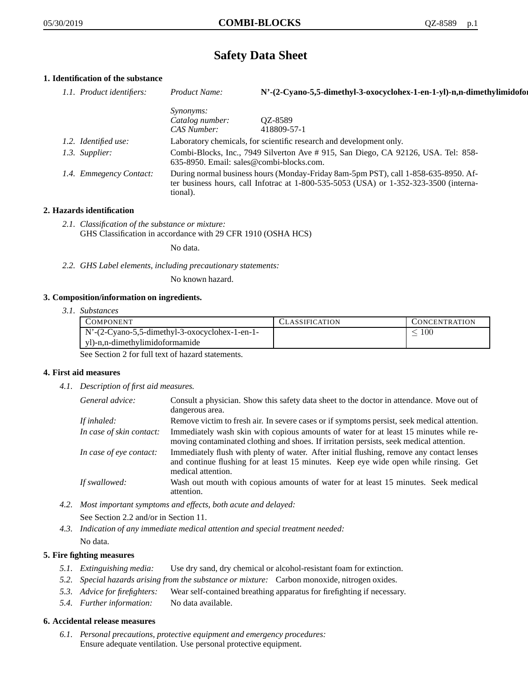# **Safety Data Sheet**

# **1. Identification of the substance**

| 1.1. Product identifiers: | Product Name:                                                                                                                                                                           | N'-(2-Cyano-5,5-dimethyl-3-oxocyclohex-1-en-1-yl)-n,n-dimethylimidofor            |
|---------------------------|-----------------------------------------------------------------------------------------------------------------------------------------------------------------------------------------|-----------------------------------------------------------------------------------|
|                           | <i>Synonyms:</i>                                                                                                                                                                        |                                                                                   |
|                           | Catalog number:                                                                                                                                                                         | QZ-8589                                                                           |
|                           | CAS Number:                                                                                                                                                                             | 418809-57-1                                                                       |
| 1.2. Identified use:      |                                                                                                                                                                                         | Laboratory chemicals, for scientific research and development only.               |
| 1.3. Supplier:            | 635-8950. Email: sales@combi-blocks.com.                                                                                                                                                | Combi-Blocks, Inc., 7949 Silverton Ave # 915, San Diego, CA 92126, USA. Tel: 858- |
| 1.4. Emmegency Contact:   | During normal business hours (Monday-Friday 8am-5pm PST), call 1-858-635-8950. Af-<br>ter business hours, call Infotrac at 1-800-535-5053 (USA) or 1-352-323-3500 (interna-<br>tional). |                                                                                   |

## **2. Hazards identification**

*2.1. Classification of the substance or mixture:* GHS Classification in accordance with 29 CFR 1910 (OSHA HCS)

No data.

*2.2. GHS Label elements, including precautionary statements:*

No known hazard.

## **3. Composition/information on ingredients.**

*3.1. Substances*

| COMPONENT                                              | <b>CLASSIFICATION</b> | CONCENTRATION |
|--------------------------------------------------------|-----------------------|---------------|
| $\vert$ N'-(2-Cyano-5,5-dimethyl-3-oxocyclohex-1-en-1- |                       | 100           |
| yl)-n,n-dimethylimidoformamide                         |                       |               |

See Section 2 for full text of hazard statements.

## **4. First aid measures**

*4.1. Description of first aid measures.*

| General advice:          | Consult a physician. Show this safety data sheet to the doctor in attendance. Move out of<br>dangerous area.                                                                                            |
|--------------------------|---------------------------------------------------------------------------------------------------------------------------------------------------------------------------------------------------------|
| If inhaled:              | Remove victim to fresh air. In severe cases or if symptoms persist, seek medical attention.                                                                                                             |
| In case of skin contact: | Immediately wash skin with copious amounts of water for at least 15 minutes while re-<br>moving contaminated clothing and shoes. If irritation persists, seek medical attention.                        |
| In case of eye contact:  | Immediately flush with plenty of water. After initial flushing, remove any contact lenses<br>and continue flushing for at least 15 minutes. Keep eye wide open while rinsing. Get<br>medical attention. |
| If swallowed:            | Wash out mouth with copious amounts of water for at least 15 minutes. Seek medical<br>attention.                                                                                                        |

- *4.2. Most important symptoms and effects, both acute and delayed:* See Section 2.2 and/or in Section 11.
- *4.3. Indication of any immediate medical attention and special treatment needed:* No data.

## **5. Fire fighting measures**

- *5.1. Extinguishing media:* Use dry sand, dry chemical or alcohol-resistant foam for extinction.
- *5.2. Special hazards arising from the substance or mixture:* Carbon monoxide, nitrogen oxides.
- *5.3. Advice for firefighters:* Wear self-contained breathing apparatus for firefighting if necessary.
- *5.4. Further information:* No data available.

## **6. Accidental release measures**

*6.1. Personal precautions, protective equipment and emergency procedures:* Ensure adequate ventilation. Use personal protective equipment.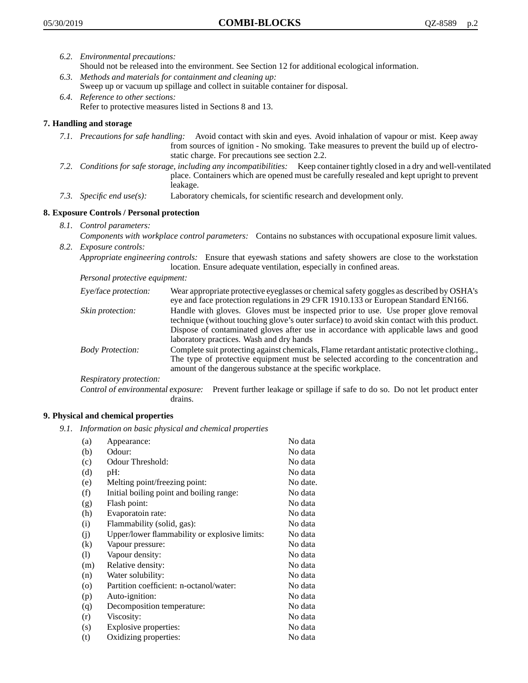- *6.2. Environmental precautions:* Should not be released into the environment. See Section 12 for additional ecological information.
- *6.3. Methods and materials for containment and cleaning up:* Sweep up or vacuum up spillage and collect in suitable container for disposal.
- *6.4. Reference to other sections:* Refer to protective measures listed in Sections 8 and 13.

# **7. Handling and storage**

- *7.1. Precautions for safe handling:* Avoid contact with skin and eyes. Avoid inhalation of vapour or mist. Keep away from sources of ignition - No smoking. Take measures to prevent the build up of electrostatic charge. For precautions see section 2.2.
- *7.2. Conditions for safe storage, including any incompatibilities:* Keep container tightly closed in a dry and well-ventilated place. Containers which are opened must be carefully resealed and kept upright to prevent leakage.
- *7.3. Specific end use(s):* Laboratory chemicals, for scientific research and development only.

## **8. Exposure Controls / Personal protection**

- *8.1. Control parameters:*
- *Components with workplace control parameters:* Contains no substances with occupational exposure limit values. *8.2. Exposure controls:*

*Appropriate engineering controls:* Ensure that eyewash stations and safety showers are close to the workstation location. Ensure adequate ventilation, especially in confined areas.

*Personal protective equipment:*

| Eye/face protection:    | Wear appropriate protective eyeglasses or chemical safety goggles as described by OSHA's<br>eye and face protection regulations in 29 CFR 1910.133 or European Standard EN166.                                                                                                                                         |
|-------------------------|------------------------------------------------------------------------------------------------------------------------------------------------------------------------------------------------------------------------------------------------------------------------------------------------------------------------|
| Skin protection:        | Handle with gloves. Gloves must be inspected prior to use. Use proper glove removal<br>technique (without touching glove's outer surface) to avoid skin contact with this product.<br>Dispose of contaminated gloves after use in accordance with applicable laws and good<br>laboratory practices. Wash and dry hands |
| <b>Body Protection:</b> | Complete suit protecting against chemicals, Flame retardant antistatic protective clothing.,<br>The type of protective equipment must be selected according to the concentration and<br>amount of the dangerous substance at the specific workplace.                                                                   |
| Respiratory protection: |                                                                                                                                                                                                                                                                                                                        |

Control of environmental exposure: Prevent further leakage or spillage if safe to do so. Do not let product enter drains.

## **9. Physical and chemical properties**

*9.1. Information on basic physical and chemical properties*

| (a)      | Appearance:                                   | No data  |
|----------|-----------------------------------------------|----------|
| (b)      | Odour:                                        | No data  |
| (c)      | Odour Threshold:                              | No data  |
| (d)      | pH:                                           | No data  |
| (e)      | Melting point/freezing point:                 | No date. |
| (f)      | Initial boiling point and boiling range:      | No data  |
| (g)      | Flash point:                                  | No data  |
| (h)      | Evaporatoin rate:                             | No data  |
| (i)      | Flammability (solid, gas):                    | No data  |
| (i)      | Upper/lower flammability or explosive limits: | No data  |
| $\rm(k)$ | Vapour pressure:                              | No data  |
| (1)      | Vapour density:                               | No data  |
| (m)      | Relative density:                             | No data  |
| (n)      | Water solubility:                             | No data  |
| $\circ$  | Partition coefficient: n-octanol/water:       | No data  |
| (p)      | Auto-ignition:                                | No data  |
| (q)      | Decomposition temperature:                    | No data  |
| (r)      | Viscosity:                                    | No data  |
| (s)      | Explosive properties:                         | No data  |
| (t)      | Oxidizing properties:                         | No data  |